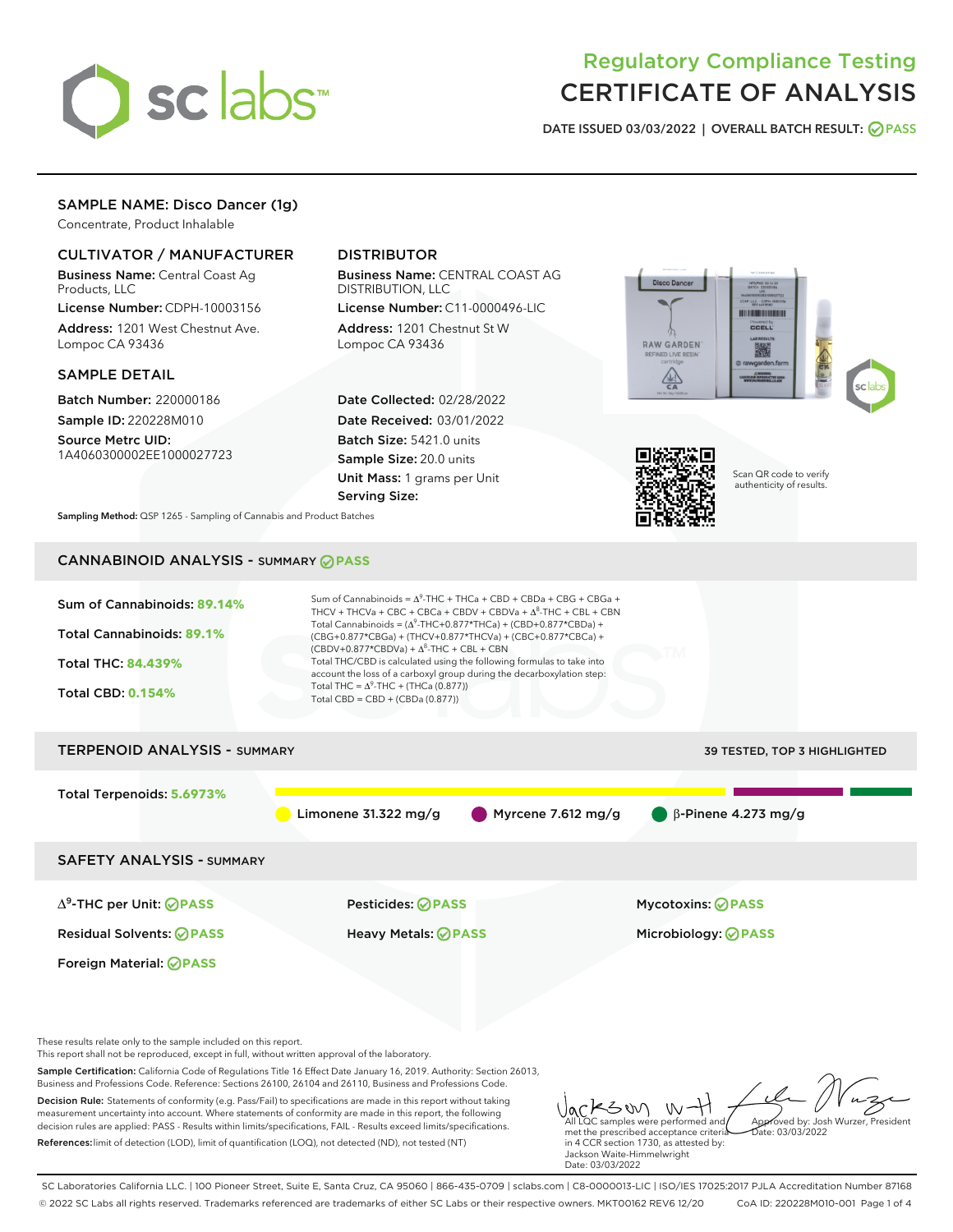

# Regulatory Compliance Testing CERTIFICATE OF ANALYSIS

DATE ISSUED 03/03/2022 | OVERALL BATCH RESULT: @ PASS

## SAMPLE NAME: Disco Dancer (1g)

Concentrate, Product Inhalable

## CULTIVATOR / MANUFACTURER

Business Name: Central Coast Ag Products, LLC

License Number: CDPH-10003156 Address: 1201 West Chestnut Ave. Lompoc CA 93436

#### SAMPLE DETAIL

Batch Number: 220000186 Sample ID: 220228M010 Source Metrc UID:

1A4060300002EE1000027723

## DISTRIBUTOR

Business Name: CENTRAL COAST AG DISTRIBUTION, LLC

License Number: C11-0000496-LIC Address: 1201 Chestnut St W Lompoc CA 93436

Date Collected: 02/28/2022 Date Received: 03/01/2022 Batch Size: 5421.0 units Sample Size: 20.0 units Unit Mass: 1 grams per Unit Serving Size:





Scan QR code to verify authenticity of results.

Sampling Method: QSP 1265 - Sampling of Cannabis and Product Batches

# CANNABINOID ANALYSIS - SUMMARY **PASS**



Decision Rule: Statements of conformity (e.g. Pass/Fail) to specifications are made in this report without taking measurement uncertainty into account. Where statements of conformity are made in this report, the following decision rules are applied: PASS - Results within limits/specifications, FAIL - Results exceed limits/specifications. References:limit of detection (LOD), limit of quantification (LOQ), not detected (ND), not tested (NT)

KSW W-All LQC samples were performed and Approved by: Josh Wurzer, President met the prescribed acceptance criteria Date: 03/03/2022 in 4 CCR section 1730, as attested by: Jackson Waite-Himmelwright

SC Laboratories California LLC. | 100 Pioneer Street, Suite E, Santa Cruz, CA 95060 | 866-435-0709 | sclabs.com | C8-0000013-LIC | ISO/IES 17025:2017 PJLA Accreditation Number 87168 © 2022 SC Labs all rights reserved. Trademarks referenced are trademarks of either SC Labs or their respective owners. MKT00162 REV6 12/20 CoA ID: 220228M010-001 Page 1 of 4

Date: 03/03/2022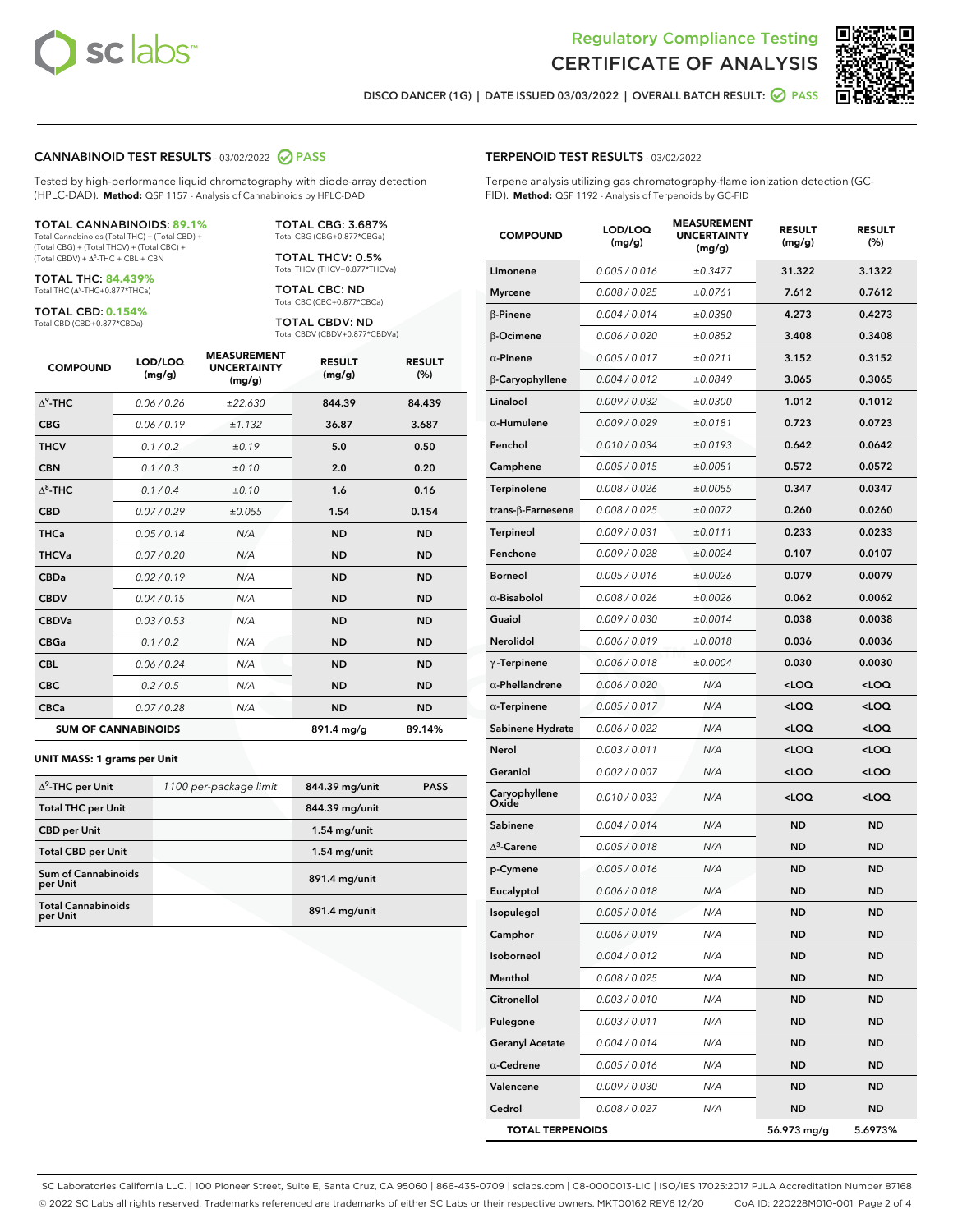

Terpene analysis utilizing gas chromatography-flame ionization detection (GC-



DISCO DANCER (1G) | DATE ISSUED 03/03/2022 | OVERALL BATCH RESULT: @ PASS

TERPENOID TEST RESULTS - 03/02/2022

FID). **Method:** QSP 1192 - Analysis of Terpenoids by GC-FID

#### CANNABINOID TEST RESULTS - 03/02/2022 2 PASS

Tested by high-performance liquid chromatography with diode-array detection (HPLC-DAD). **Method:** QSP 1157 - Analysis of Cannabinoids by HPLC-DAD

#### TOTAL CANNABINOIDS: **89.1%**

Total Cannabinoids (Total THC) + (Total CBD) + (Total CBG) + (Total THCV) + (Total CBC) +  $(Total CBDV) +  $\Delta^8$ -THC + CBL + CBN$ 

TOTAL THC: **84.439%** Total THC (Δ<sup>9</sup>-THC+0.877\*THCa)

TOTAL CBD: **0.154%**

Total CBD (CBD+0.877\*CBDa)

TOTAL CBG: 3.687% Total CBG (CBG+0.877\*CBGa)

TOTAL THCV: 0.5% Total THCV (THCV+0.877\*THCVa)

TOTAL CBC: ND Total CBC (CBC+0.877\*CBCa)

TOTAL CBDV: ND Total CBDV (CBDV+0.877\*CBDVa)

| <b>COMPOUND</b>  | LOD/LOQ<br>(mg/g)          | <b>MEASUREMENT</b><br><b>UNCERTAINTY</b><br>(mg/g) | <b>RESULT</b><br>(mg/g) | <b>RESULT</b><br>(%) |
|------------------|----------------------------|----------------------------------------------------|-------------------------|----------------------|
| $\Lambda^9$ -THC | 0.06/0.26                  | ±22.630                                            | 844.39                  | 84.439               |
| <b>CBG</b>       | 0.06/0.19                  | ±1.132                                             | 36.87                   | 3.687                |
| <b>THCV</b>      | 0.1/0.2                    | ±0.19                                              | 5.0                     | 0.50                 |
| <b>CBN</b>       | 0.1/0.3                    | ±0.10                                              | 2.0                     | 0.20                 |
| $\Delta^8$ -THC  | 0.1/0.4                    | ±0.10                                              | 1.6                     | 0.16                 |
| <b>CBD</b>       | 0.07/0.29                  | ±0.055                                             | 1.54                    | 0.154                |
| <b>THCa</b>      | 0.05/0.14                  | N/A                                                | <b>ND</b>               | <b>ND</b>            |
| <b>THCVa</b>     | 0.07/0.20                  | N/A                                                | <b>ND</b>               | <b>ND</b>            |
| <b>CBDa</b>      | 0.02/0.19                  | N/A                                                | <b>ND</b>               | <b>ND</b>            |
| <b>CBDV</b>      | 0.04/0.15                  | N/A                                                | <b>ND</b>               | <b>ND</b>            |
| <b>CBDVa</b>     | 0.03/0.53                  | N/A                                                | <b>ND</b>               | <b>ND</b>            |
| <b>CBGa</b>      | 0.1/0.2                    | N/A                                                | <b>ND</b>               | <b>ND</b>            |
| <b>CBL</b>       | 0.06 / 0.24                | N/A                                                | <b>ND</b>               | <b>ND</b>            |
| <b>CBC</b>       | 0.2 / 0.5                  | N/A                                                | <b>ND</b>               | <b>ND</b>            |
| <b>CBCa</b>      | 0.07 / 0.28                | N/A                                                | <b>ND</b>               | <b>ND</b>            |
|                  | <b>SUM OF CANNABINOIDS</b> |                                                    | 891.4 mg/g              | 89.14%               |

#### **UNIT MASS: 1 grams per Unit**

| $\Delta^9$ -THC per Unit               | 1100 per-package limit | 844.39 mg/unit | <b>PASS</b> |
|----------------------------------------|------------------------|----------------|-------------|
| <b>Total THC per Unit</b>              |                        | 844.39 mg/unit |             |
| <b>CBD per Unit</b>                    |                        | $1.54$ mg/unit |             |
| <b>Total CBD per Unit</b>              |                        | $1.54$ mg/unit |             |
| <b>Sum of Cannabinoids</b><br>per Unit |                        | 891.4 mg/unit  |             |
| <b>Total Cannabinoids</b><br>per Unit  |                        | 891.4 mg/unit  |             |

| <b>COMPOUND</b>        | LOD/LOQ<br>(mg/g) | <b>MEASUREMENT</b><br><b>UNCERTAINTY</b><br>(mg/g) | <b>RESULT</b><br>(mg/g)                         | <b>RESULT</b><br>(%) |
|------------------------|-------------------|----------------------------------------------------|-------------------------------------------------|----------------------|
| Limonene               | 0.005 / 0.016     | ±0.3477                                            | 31.322                                          | 3.1322               |
| <b>Myrcene</b>         | 0.008 / 0.025     | ±0.0761                                            | 7.612                                           | 0.7612               |
| $\beta$ -Pinene        | 0.004 / 0.014     | ±0.0380                                            | 4.273                                           | 0.4273               |
| $\beta$ -Ocimene       | 0.006 / 0.020     | ±0.0852                                            | 3.408                                           | 0.3408               |
| $\alpha$ -Pinene       | 0.005 / 0.017     | ±0.0211                                            | 3.152                                           | 0.3152               |
| β-Caryophyllene        | 0.004 / 0.012     | ±0.0849                                            | 3.065                                           | 0.3065               |
| Linalool               | 0.009 / 0.032     | ±0.0300                                            | 1.012                                           | 0.1012               |
| $\alpha$ -Humulene     | 0.009/0.029       | ±0.0181                                            | 0.723                                           | 0.0723               |
| Fenchol                | 0.010 / 0.034     | ±0.0193                                            | 0.642                                           | 0.0642               |
| Camphene               | 0.005 / 0.015     | ±0.0051                                            | 0.572                                           | 0.0572               |
| Terpinolene            | 0.008 / 0.026     | ±0.0055                                            | 0.347                                           | 0.0347               |
| trans-β-Farnesene      | 0.008 / 0.025     | ±0.0072                                            | 0.260                                           | 0.0260               |
| <b>Terpineol</b>       | 0.009 / 0.031     | ±0.0111                                            | 0.233                                           | 0.0233               |
| Fenchone               | 0.009 / 0.028     | ±0.0024                                            | 0.107                                           | 0.0107               |
| Borneol                | 0.005 / 0.016     | ±0.0026                                            | 0.079                                           | 0.0079               |
| $\alpha$ -Bisabolol    | 0.008 / 0.026     | ±0.0026                                            | 0.062                                           | 0.0062               |
| Guaiol                 | 0.009 / 0.030     | ±0.0014                                            | 0.038                                           | 0.0038               |
| <b>Nerolidol</b>       | 0.006 / 0.019     | ±0.0018                                            | 0.036                                           | 0.0036               |
| $\gamma$ -Terpinene    | 0.006 / 0.018     | ±0.0004                                            | 0.030                                           | 0.0030               |
| $\alpha$ -Phellandrene | 0.006 / 0.020     | N/A                                                | <loq< th=""><th><loq< th=""></loq<></th></loq<> | <loq< th=""></loq<>  |
| $\alpha$ -Terpinene    | 0.005 / 0.017     | N/A                                                | <loq< th=""><th><loq< th=""></loq<></th></loq<> | <loq< th=""></loq<>  |
| Sabinene Hydrate       | 0.006 / 0.022     | N/A                                                | $<$ LOQ                                         | <loq< th=""></loq<>  |
| Nerol                  | 0.003 / 0.011     | N/A                                                | <loq< th=""><th><loq< th=""></loq<></th></loq<> | <loq< th=""></loq<>  |
| Geraniol               | 0.002 / 0.007     | N/A                                                | <loq< th=""><th><loq< th=""></loq<></th></loq<> | <loq< th=""></loq<>  |
| Caryophyllene<br>Oxide | 0.010 / 0.033     | N/A                                                | <loq< th=""><th><loq< th=""></loq<></th></loq<> | <loq< th=""></loq<>  |
| Sabinene               | 0.004 / 0.014     | N/A                                                | <b>ND</b>                                       | <b>ND</b>            |
| $\Delta^3$ -Carene     | 0.005 / 0.018     | N/A                                                | ND                                              | <b>ND</b>            |
| p-Cymene               | 0.005 / 0.016     | N/A                                                | <b>ND</b>                                       | <b>ND</b>            |
| Eucalyptol             | 0.006 / 0.018     | N/A                                                | <b>ND</b>                                       | <b>ND</b>            |
| Isopulegol             | 0.005 / 0.016     | N/A                                                | <b>ND</b>                                       | <b>ND</b>            |
| Camphor                | 0.006 / 0.019     | N/A                                                | ND                                              | ND                   |
| Isoborneol             | 0.004 / 0.012     | N/A                                                | <b>ND</b>                                       | ND                   |
| Menthol                | 0.008 / 0.025     | N/A                                                | ND                                              | ND                   |
| <b>Citronellol</b>     | 0.003 / 0.010     | N/A                                                | ND                                              | ND                   |
| Pulegone               | 0.003 / 0.011     | N/A                                                | <b>ND</b>                                       | ND                   |
| <b>Geranyl Acetate</b> | 0.004 / 0.014     | N/A                                                | ND                                              | ND                   |
| $\alpha$ -Cedrene      | 0.005 / 0.016     | N/A                                                | ND                                              | <b>ND</b>            |
| Valencene              | 0.009 / 0.030     | N/A                                                | <b>ND</b>                                       | ND                   |
| Cedrol                 | 0.008 / 0.027     | N/A                                                | <b>ND</b>                                       | <b>ND</b>            |

TOTAL TERPENOIDS 56.973 mg/g 5.6973%

SC Laboratories California LLC. | 100 Pioneer Street, Suite E, Santa Cruz, CA 95060 | 866-435-0709 | sclabs.com | C8-0000013-LIC | ISO/IES 17025:2017 PJLA Accreditation Number 87168 © 2022 SC Labs all rights reserved. Trademarks referenced are trademarks of either SC Labs or their respective owners. MKT00162 REV6 12/20 CoA ID: 220228M010-001 Page 2 of 4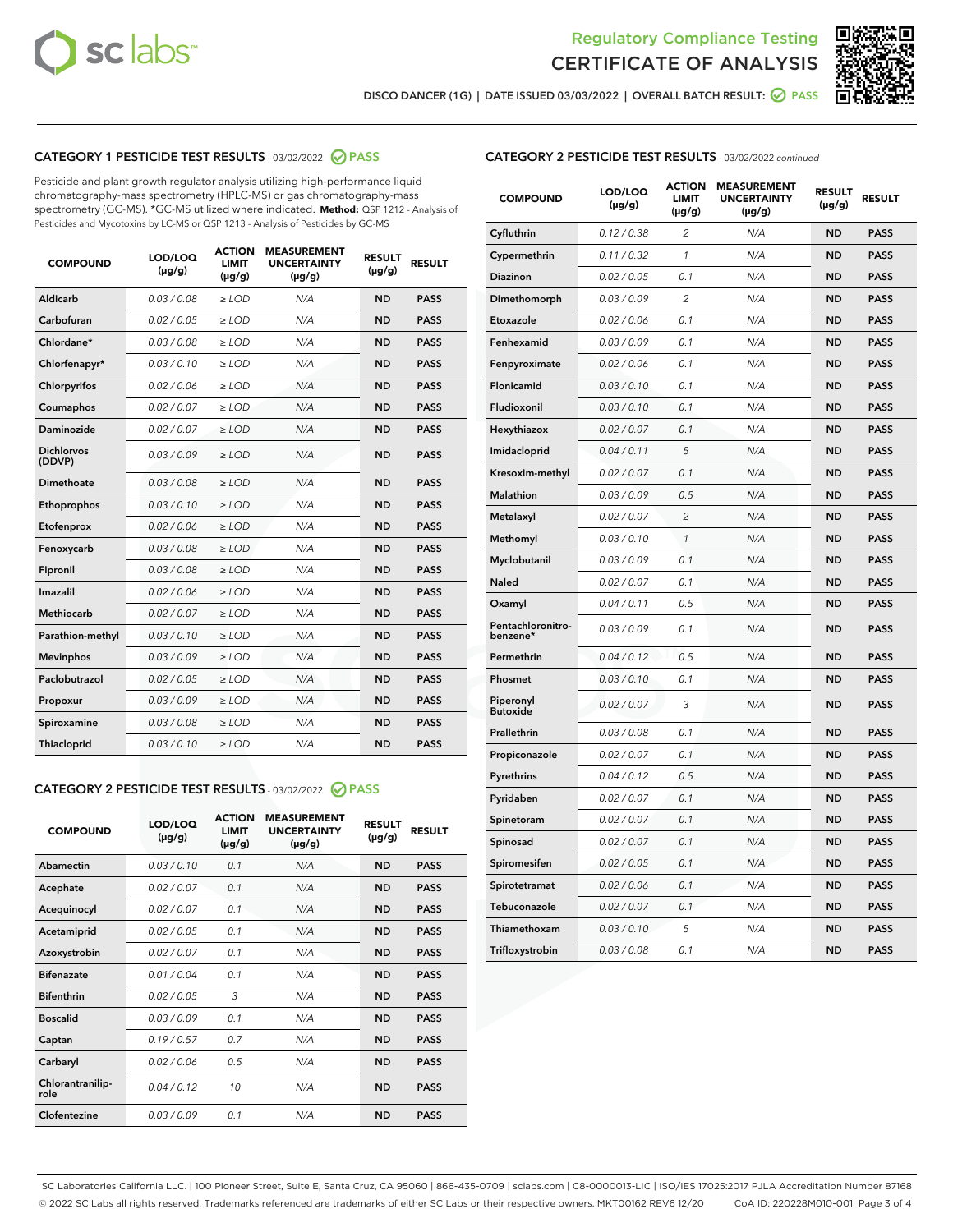



DISCO DANCER (1G) | DATE ISSUED 03/03/2022 | OVERALL BATCH RESULT: ● PASS

### CATEGORY 1 PESTICIDE TEST RESULTS - 03/02/2022 2 PASS

Pesticide and plant growth regulator analysis utilizing high-performance liquid chromatography-mass spectrometry (HPLC-MS) or gas chromatography-mass spectrometry (GC-MS). \*GC-MS utilized where indicated. **Method:** QSP 1212 - Analysis of Pesticides and Mycotoxins by LC-MS or QSP 1213 - Analysis of Pesticides by GC-MS

| <b>COMPOUND</b>             | LOD/LOQ<br>$(\mu g/g)$ | <b>ACTION</b><br><b>LIMIT</b><br>$(\mu g/g)$ | <b>MEASUREMENT</b><br><b>UNCERTAINTY</b><br>$(\mu g/g)$ | <b>RESULT</b><br>$(\mu g/g)$ | <b>RESULT</b> |
|-----------------------------|------------------------|----------------------------------------------|---------------------------------------------------------|------------------------------|---------------|
| Aldicarb                    | 0.03/0.08              | $>$ LOD                                      | N/A                                                     | <b>ND</b>                    | <b>PASS</b>   |
| Carbofuran                  | 0.02 / 0.05            | $\ge$ LOD                                    | N/A                                                     | <b>ND</b>                    | <b>PASS</b>   |
| Chlordane*                  | 0.03/0.08              | $>$ LOD                                      | N/A                                                     | <b>ND</b>                    | <b>PASS</b>   |
| Chlorfenapyr*               | 0.03/0.10              | $>$ LOD                                      | N/A                                                     | <b>ND</b>                    | <b>PASS</b>   |
| Chlorpyrifos                | 0.02 / 0.06            | $>$ LOD                                      | N/A                                                     | <b>ND</b>                    | <b>PASS</b>   |
| Coumaphos                   | 0.02 / 0.07            | $\ge$ LOD                                    | N/A                                                     | <b>ND</b>                    | <b>PASS</b>   |
| <b>Daminozide</b>           | 0.02 / 0.07            | $\ge$ LOD                                    | N/A                                                     | <b>ND</b>                    | <b>PASS</b>   |
| <b>Dichlorvos</b><br>(DDVP) | 0.03/0.09              | $>$ LOD                                      | N/A                                                     | <b>ND</b>                    | <b>PASS</b>   |
| Dimethoate                  | 0.03 / 0.08            | $>$ LOD                                      | N/A                                                     | <b>ND</b>                    | <b>PASS</b>   |
| Ethoprophos                 | 0.03/0.10              | $>$ LOD                                      | N/A                                                     | <b>ND</b>                    | <b>PASS</b>   |
| Etofenprox                  | 0.02 / 0.06            | $\ge$ LOD                                    | N/A                                                     | <b>ND</b>                    | <b>PASS</b>   |
| Fenoxycarb                  | 0.03/0.08              | $\ge$ LOD                                    | N/A                                                     | <b>ND</b>                    | <b>PASS</b>   |
| Fipronil                    | 0.03 / 0.08            | $\ge$ LOD                                    | N/A                                                     | <b>ND</b>                    | <b>PASS</b>   |
| Imazalil                    | 0.02 / 0.06            | $\ge$ LOD                                    | N/A                                                     | <b>ND</b>                    | <b>PASS</b>   |
| <b>Methiocarb</b>           | 0.02 / 0.07            | $\ge$ LOD                                    | N/A                                                     | <b>ND</b>                    | <b>PASS</b>   |
| Parathion-methyl            | 0.03/0.10              | $\ge$ LOD                                    | N/A                                                     | <b>ND</b>                    | <b>PASS</b>   |
| <b>Mevinphos</b>            | 0.03/0.09              | $\ge$ LOD                                    | N/A                                                     | <b>ND</b>                    | <b>PASS</b>   |
| Paclobutrazol               | 0.02 / 0.05            | $\ge$ LOD                                    | N/A                                                     | <b>ND</b>                    | <b>PASS</b>   |
| Propoxur                    | 0.03/0.09              | $\ge$ LOD                                    | N/A                                                     | <b>ND</b>                    | <b>PASS</b>   |
| Spiroxamine                 | 0.03 / 0.08            | $\ge$ LOD                                    | N/A                                                     | <b>ND</b>                    | <b>PASS</b>   |
| Thiacloprid                 | 0.03/0.10              | $>$ LOD                                      | N/A                                                     | <b>ND</b>                    | <b>PASS</b>   |

## CATEGORY 2 PESTICIDE TEST RESULTS - 03/02/2022 2 PASS

| <b>COMPOUND</b>          | LOD/LOO<br>$(\mu g/g)$ | <b>ACTION</b><br><b>LIMIT</b><br>(µg/g) | <b>MEASUREMENT</b><br><b>UNCERTAINTY</b><br>$(\mu g/g)$ | <b>RESULT</b><br>$(\mu g/g)$ | <b>RESULT</b> |  |
|--------------------------|------------------------|-----------------------------------------|---------------------------------------------------------|------------------------------|---------------|--|
| Abamectin                | 0.03/0.10              | 0.1                                     | N/A                                                     | <b>ND</b>                    | <b>PASS</b>   |  |
| Acephate                 | 0.02/0.07              | 0.1                                     | N/A                                                     | <b>ND</b>                    | <b>PASS</b>   |  |
| Acequinocyl              | 0.02/0.07              | 0.1                                     | N/A                                                     | <b>ND</b>                    | <b>PASS</b>   |  |
| Acetamiprid              | 0.02/0.05              | 0.1                                     | N/A                                                     | <b>ND</b>                    | <b>PASS</b>   |  |
| Azoxystrobin             | 0.02/0.07              | 0.1                                     | N/A                                                     | <b>ND</b>                    | <b>PASS</b>   |  |
| <b>Bifenazate</b>        | 0.01/0.04              | 0.1                                     | N/A                                                     | <b>ND</b>                    | <b>PASS</b>   |  |
| <b>Bifenthrin</b>        | 0.02/0.05              | 3                                       | N/A                                                     | <b>ND</b>                    | <b>PASS</b>   |  |
| <b>Boscalid</b>          | 0.03/0.09              | 0.1                                     | N/A                                                     | <b>ND</b>                    | <b>PASS</b>   |  |
| Captan                   | 0.19/0.57              | 0.7                                     | N/A                                                     | <b>ND</b>                    | <b>PASS</b>   |  |
| Carbaryl                 | 0.02/0.06              | 0.5                                     | N/A                                                     | <b>ND</b>                    | <b>PASS</b>   |  |
| Chlorantranilip-<br>role | 0.04/0.12              | 10                                      | N/A                                                     | <b>ND</b>                    | <b>PASS</b>   |  |
| Clofentezine             | 0.03/0.09              | 0.1                                     | N/A                                                     | <b>ND</b>                    | <b>PASS</b>   |  |

#### CATEGORY 2 PESTICIDE TEST RESULTS - 03/02/2022 continued

| <b>COMPOUND</b>               | LOD/LOQ<br>(µg/g) | <b>ACTION</b><br><b>LIMIT</b><br>(µg/g) | <b>MEASUREMENT</b><br><b>UNCERTAINTY</b><br>$(\mu g/g)$ | <b>RESULT</b><br>(µg/g) | <b>RESULT</b> |
|-------------------------------|-------------------|-----------------------------------------|---------------------------------------------------------|-------------------------|---------------|
| Cyfluthrin                    | 0.12 / 0.38       | $\overline{c}$                          | N/A                                                     | ND                      | <b>PASS</b>   |
| Cypermethrin                  | 0.11 / 0.32       | $\mathcal{I}$                           | N/A                                                     | ND                      | <b>PASS</b>   |
| <b>Diazinon</b>               | 0.02 / 0.05       | 0.1                                     | N/A                                                     | <b>ND</b>               | <b>PASS</b>   |
| Dimethomorph                  | 0.03 / 0.09       | 2                                       | N/A                                                     | ND                      | <b>PASS</b>   |
| Etoxazole                     | 0.02 / 0.06       | 0.1                                     | N/A                                                     | ND                      | <b>PASS</b>   |
| Fenhexamid                    | 0.03 / 0.09       | 0.1                                     | N/A                                                     | <b>ND</b>               | <b>PASS</b>   |
| Fenpyroximate                 | 0.02 / 0.06       | 0.1                                     | N/A                                                     | <b>ND</b>               | <b>PASS</b>   |
| Flonicamid                    | 0.03 / 0.10       | 0.1                                     | N/A                                                     | <b>ND</b>               | <b>PASS</b>   |
| Fludioxonil                   | 0.03 / 0.10       | 0.1                                     | N/A                                                     | <b>ND</b>               | <b>PASS</b>   |
| Hexythiazox                   | 0.02 / 0.07       | 0.1                                     | N/A                                                     | <b>ND</b>               | <b>PASS</b>   |
| Imidacloprid                  | 0.04 / 0.11       | 5                                       | N/A                                                     | <b>ND</b>               | <b>PASS</b>   |
| Kresoxim-methyl               | 0.02 / 0.07       | 0.1                                     | N/A                                                     | ND                      | <b>PASS</b>   |
| Malathion                     | 0.03 / 0.09       | 0.5                                     | N/A                                                     | <b>ND</b>               | <b>PASS</b>   |
| Metalaxyl                     | 0.02 / 0.07       | $\overline{c}$                          | N/A                                                     | <b>ND</b>               | <b>PASS</b>   |
| Methomyl                      | 0.03 / 0.10       | $\mathcal{I}$                           | N/A                                                     | ND                      | <b>PASS</b>   |
| Myclobutanil                  | 0.03 / 0.09       | 0.1                                     | N/A                                                     | <b>ND</b>               | <b>PASS</b>   |
| Naled                         | 0.02 / 0.07       | 0.1                                     | N/A                                                     | ND                      | <b>PASS</b>   |
| Oxamyl                        | 0.04 / 0.11       | 0.5                                     | N/A                                                     | ND                      | <b>PASS</b>   |
| Pentachloronitro-<br>benzene* | 0.03 / 0.09       | 0.1                                     | N/A                                                     | ND                      | <b>PASS</b>   |
| Permethrin                    | 0.04 / 0.12       | 0.5                                     | N/A                                                     | <b>ND</b>               | <b>PASS</b>   |
| Phosmet                       | 0.03 / 0.10       | 0.1                                     | N/A                                                     | ND                      | <b>PASS</b>   |
| Piperonyl<br><b>Butoxide</b>  | 0.02 / 0.07       | 3                                       | N/A                                                     | <b>ND</b>               | <b>PASS</b>   |
| Prallethrin                   | 0.03 / 0.08       | 0.1                                     | N/A                                                     | <b>ND</b>               | <b>PASS</b>   |
| Propiconazole                 | 0.02 / 0.07       | 0.1                                     | N/A                                                     | <b>ND</b>               | <b>PASS</b>   |
| Pyrethrins                    | 0.04 / 0.12       | 0.5                                     | N/A                                                     | <b>ND</b>               | <b>PASS</b>   |
| Pyridaben                     | 0.02 / 0.07       | 0.1                                     | N/A                                                     | <b>ND</b>               | <b>PASS</b>   |
| Spinetoram                    | 0.02 / 0.07       | 0.1                                     | N/A                                                     | <b>ND</b>               | <b>PASS</b>   |
| Spinosad                      | 0.02 / 0.07       | 0.1                                     | N/A                                                     | ND                      | <b>PASS</b>   |
| Spiromesifen                  | 0.02 / 0.05       | 0.1                                     | N/A                                                     | <b>ND</b>               | <b>PASS</b>   |
| Spirotetramat                 | 0.02 / 0.06       | 0.1                                     | N/A                                                     | <b>ND</b>               | <b>PASS</b>   |
| Tebuconazole                  | 0.02 / 0.07       | 0.1                                     | N/A                                                     | ND                      | <b>PASS</b>   |
| Thiamethoxam                  | 0.03 / 0.10       | 5                                       | N/A                                                     | <b>ND</b>               | <b>PASS</b>   |
| Trifloxystrobin               | 0.03 / 0.08       | 0.1                                     | N/A                                                     | <b>ND</b>               | <b>PASS</b>   |

SC Laboratories California LLC. | 100 Pioneer Street, Suite E, Santa Cruz, CA 95060 | 866-435-0709 | sclabs.com | C8-0000013-LIC | ISO/IES 17025:2017 PJLA Accreditation Number 87168 © 2022 SC Labs all rights reserved. Trademarks referenced are trademarks of either SC Labs or their respective owners. MKT00162 REV6 12/20 CoA ID: 220228M010-001 Page 3 of 4